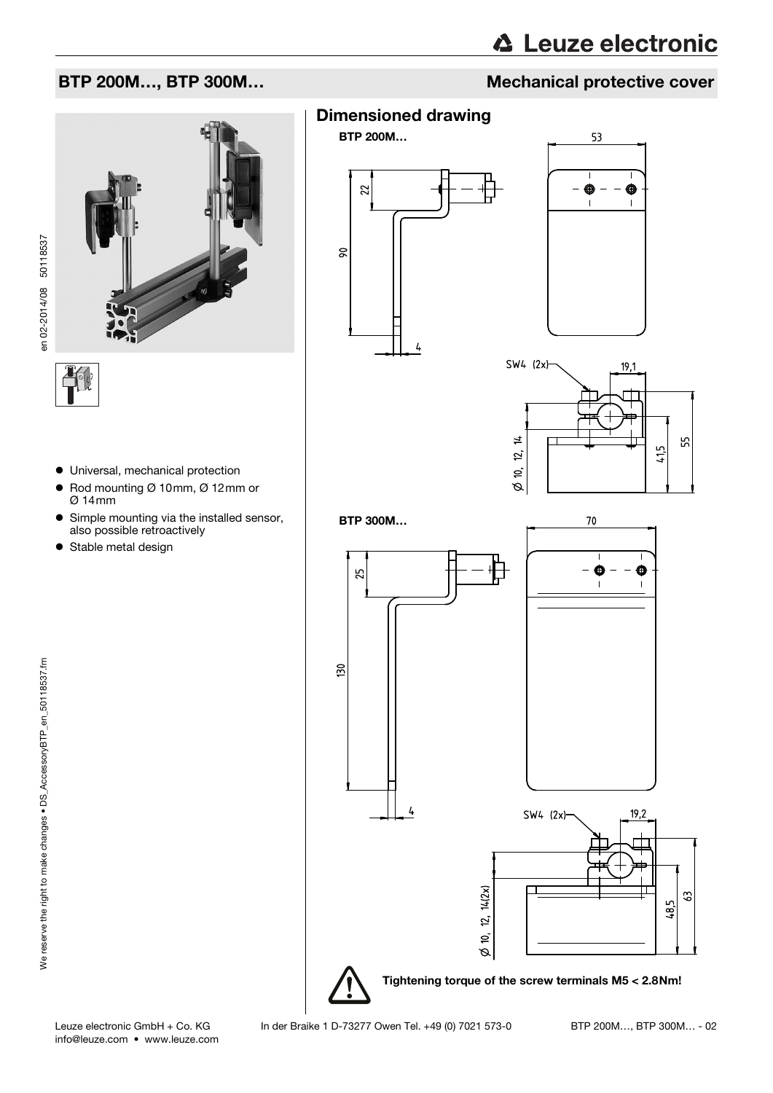# **△ Leuze electronic**

#### BTP 200M..., BTP 300M...

en 02-2014/08 50118537 en 02-2014/08 50118537

- Universal, mechanical protection
- $\bullet$  Rod mounting Ø 10mm, Ø 12mm or Ø 14mm
- Simple mounting via the installed sensor, also possible retroactively
- Stable metal design



BTP 200M…







70